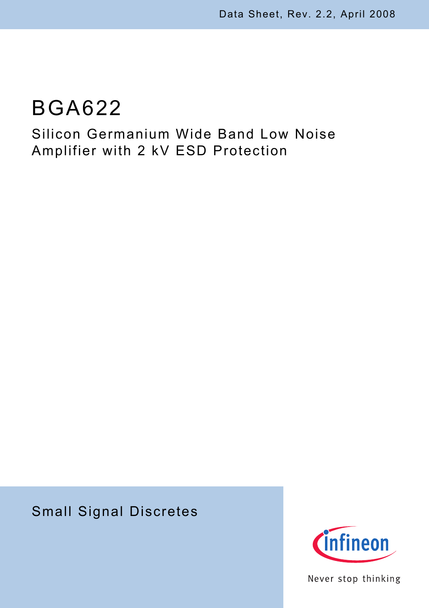# BGA622

## Silicon Germanium Wide Band Low Noise Amplifier with 2 kV ESD Protection

## Small Signal Discretes



Never stop thinking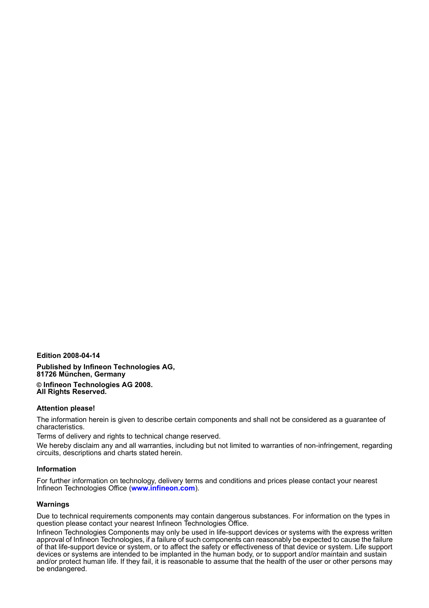**Edition 2008-04-14**

**Published by Infineon Technologies AG, 81726 München, Germany © Infineon Technologies AG 2008. All Rights Reserved.**

#### **Attention please!**

The information herein is given to describe certain components and shall not be considered as a guarantee of characteristics.

Terms of delivery and rights to technical change reserved.

We hereby disclaim any and all warranties, including but not limited to warranties of non-infringement, regarding circuits, descriptions and charts stated herein.

#### **Information**

For further information on technology, delivery terms and conditions and prices please contact your nearest Infineon Technologies Office (**[www.infineon.com](http://www.infineon.com)**).

#### **Warnings**

Due to technical requirements components may contain dangerous substances. For information on the types in question please contact your nearest Infineon Technologies Office.

Infineon Technologies Components may only be used in life-support devices or systems with the express written approval of Infineon Technologies, if a failure of such components can reasonably be expected to cause the failure of that life-support device or system, or to affect the safety or effectiveness of that device or system. Life support devices or systems are intended to be implanted in the human body, or to support and/or maintain and sustain and/or protect human life. If they fail, it is reasonable to assume that the health of the user or other persons may be endangered.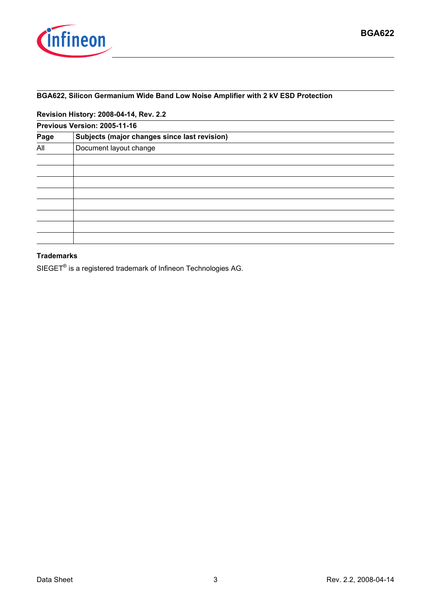

#### **BGA622, Silicon Germanium Wide Band Low Noise Amplifier with 2 kV ESD Protection**

**Revision History: 2008-04-14, Rev. 2.2**

| Previous Version: 2005-11-16                 |  |  |  |  |  |  |
|----------------------------------------------|--|--|--|--|--|--|
| Subjects (major changes since last revision) |  |  |  |  |  |  |
| Document layout change                       |  |  |  |  |  |  |
|                                              |  |  |  |  |  |  |
|                                              |  |  |  |  |  |  |
|                                              |  |  |  |  |  |  |
|                                              |  |  |  |  |  |  |
|                                              |  |  |  |  |  |  |
|                                              |  |  |  |  |  |  |
|                                              |  |  |  |  |  |  |
|                                              |  |  |  |  |  |  |
|                                              |  |  |  |  |  |  |

#### **Trademarks**

SIEGET® is a registered trademark of Infineon Technologies AG.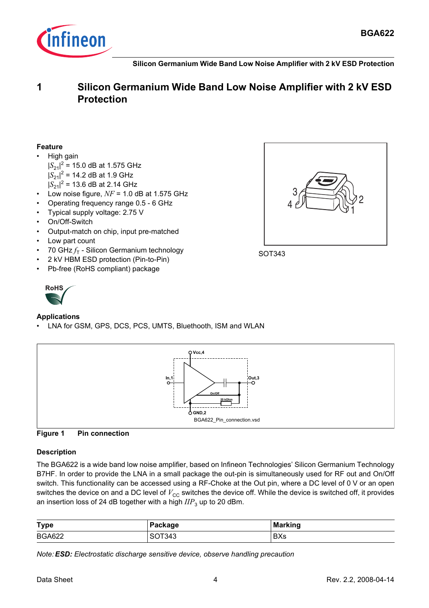

**Silicon Germanium Wide Band Low Noise Amplifier with 2 kV ESD Protection**

## **1 Silicon Germanium Wide Band Low Noise Amplifier with 2 kV ESD Protection**

#### **Feature**

- High gain
	- $|S_{21}|^2$  = 15.0 dB at 1.575 GHz  $|S_{21}|^2$  = 14.2 dB at 1.9 GHz
	- $|S_{21}|^2$  = 13.6 dB at 2.14 GHz
- Low noise figure,  $NF = 1.0$  dB at 1.575 GHz
- Operating frequency range 0.5 6 GHz
- Typical supply voltage: 2.75 V
- On/Off-Switch
- Output-match on chip, input pre-matched
- Low part count
- 70 GHz $f<sub>T</sub>$  Silicon Germanium technology
- 2 kV HBM ESD protection (Pin-to-Pin)
- Pb-free (RoHS compliant) package



#### **Applications**

LNA for GSM, GPS, DCS, PCS, UMTS, Bluethooth, ISM and WLAN





#### **Description**

The BGA622 is a wide band low noise amplifier, based on Infineon Technologies' Silicon Germanium Technology B7HF. In order to provide the LNA in a small package the out-pin is simultaneously used for RF out and On/Off switch. This functionality can be accessed using a RF-Choke at the Out pin, where a DC level of 0 V or an open switches the device on and a DC level of  $V_{\text{CC}}$  switches the device off. While the device is switched off, it provides an insertion loss of 24 dB together with a high  $IIP_3$  up to 20 dBm.

| <b>Type</b>   | Package | <b>Marking</b> |
|---------------|---------|----------------|
| <b>BGA622</b> | SOT343  | <b>BXs</b>     |

*Note:ESD: Electrostatic discharge sensitive device, observe handling precaution*

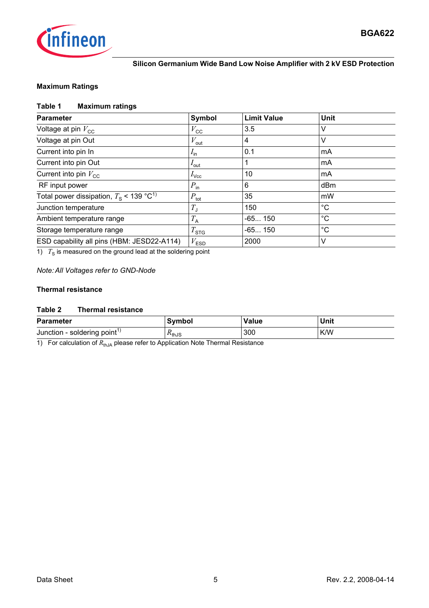

#### **Silicon Germanium Wide Band Low Noise Amplifier with 2 kV ESD Protection**

#### **Maximum Ratings**

#### **Table 1 Maximum ratings**

| <b>Parameter</b>                                      | Symbol             | <b>Limit Value</b> | Unit        |
|-------------------------------------------------------|--------------------|--------------------|-------------|
| Voltage at pin $V_{\text{cc}}$                        | $V_{\rm CC}$       | 3.5                | V           |
| Voltage at pin Out                                    | $V_{\text{out}}$   | 4                  | V           |
| Current into pin In                                   | $I_{\text{in}}$    | 0.1                | mA          |
| Current into pin Out                                  | $I_{\text{out}}$   |                    | mA          |
| Current into pin $V_{\rm CC}$                         | $I_{\text{Vcc}}$   | 10                 | mA          |
| RF input power                                        | $P_{\text{in}}$    | 6                  | dBm         |
| Total power dissipation, $T_s$ < 139 °C <sup>1)</sup> | $P_{\text{tot}}$   | 35                 | mW          |
| Junction temperature                                  | $T_{\text{J}}$     | 150                | $^{\circ}C$ |
| Ambient temperature range                             | $T_{\rm A}$        | $-65150$           | $^{\circ}C$ |
| Storage temperature range                             | $T_{\mathtt{STG}}$ | $-65150$           | $^{\circ}C$ |
| ESD capability all pins (HBM: JESD22-A114)            | $V_{\mathsf{ESD}}$ | 2000               | $\vee$      |

 $1)$   $T_S$  is measured on the ground lead at the soldering point

#### *Note: All Voltages refer to GND-Node*

#### **Thermal resistance**

#### **Table 2 Thermal resistance**

| <b>Parameter</b>                         | Svmbol                     | <b>Value</b> | Unit |
|------------------------------------------|----------------------------|--------------|------|
| Junction - soldering point <sup>1)</sup> | $\Lambda$ <sup>th</sup> JS | 300          | K/W  |

1) For calculation of  $R_{thJA}$  please refer to Application Note Thermal Resistance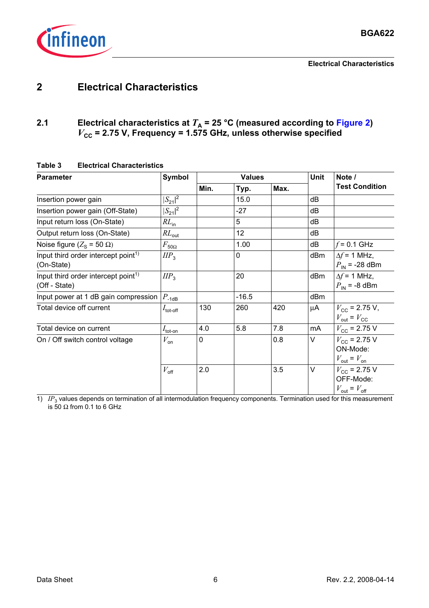

## **2 Electrical Characteristics**

## 2.1 **Electrical characteristics at**  $T_A$  **= 25 °C (measured according to [Figure 2](#page-6-0))** *V***CC = 2.75 V, Frequency = 1.575 GHz, unless otherwise specified**

<span id="page-5-0"></span>

| <b>Parameter</b>                                                 | <b>Symbol</b><br><b>Values</b> |      |         | <b>Unit</b> |     | Note /                                                                  |
|------------------------------------------------------------------|--------------------------------|------|---------|-------------|-----|-------------------------------------------------------------------------|
|                                                                  |                                | Min. | Typ.    | Max.        |     | <b>Test Condition</b>                                                   |
| Insertion power gain                                             | $ S_{21} ^2$                   |      | 15.0    |             | dB  |                                                                         |
| Insertion power gain (Off-State)                                 | $ S_{21} ^2$                   |      | $-27$   |             | dB  |                                                                         |
| Input return loss (On-State)                                     | $RL_{in}$                      |      | 5       |             | dB  |                                                                         |
| Output return loss (On-State)                                    | $RL_{\text{out}}$              |      | 12      |             | dB  |                                                                         |
| Noise figure ( $Z_s$ = 50 $\Omega$ )                             | $F_{50\Omega}$                 |      | 1.00    |             | dB  | $f = 0.1$ GHz                                                           |
| Input third order intercept point <sup>1)</sup><br>(On-State)    | $I\!IP_3$                      |      | 0       |             | dBm | $\Delta f$ = 1 MHz,<br>$P_{IN}$ = -28 dBm                               |
| Input third order intercept point <sup>1)</sup><br>(Off - State) | $\mathit{HP}_3$                |      | 20      |             | dBm | $\Delta f = 1$ MHz,<br>$P_{IN}$ = -8 dBm                                |
| Input power at 1 dB gain compression                             | $P_{\text{-1dB}}$              |      | $-16.5$ |             | dBm |                                                                         |
| Total device off current                                         | $I_{\text{tot-off}}$           | 130  | 260     | 420         | μA  | $V_{\rm CC}$ = 2.75 V,<br>$V_{\text{out}} = V_{\text{CC}}$              |
| Total device on current                                          | $I_{\text{tot-on}}$            | 4.0  | 5.8     | 7.8         | mA  | $V_{\rm CC}$ = 2.75 V                                                   |
| On / Off switch control voltage                                  | $V_{\mathsf{on}}$              | 0    |         | 0.8         | V   | $V_{\rm CC}$ = 2.75 V<br>ON-Mode:<br>$V_{\text{out}} = V_{\text{on}}$   |
|                                                                  | $V_{\text{off}}$               | 2.0  |         | 3.5         | V   | $V_{\rm CC}$ = 2.75 V<br>OFF-Mode:<br>$V_{\text{out}} = V_{\text{off}}$ |

#### **Table 3 Electrical Characteristics**

1) *IP*<sub>3</sub> values depends on termination of all intermodulation frequency components. Termination used for this measurement is 50 Ω from 0.1 to 6 GHz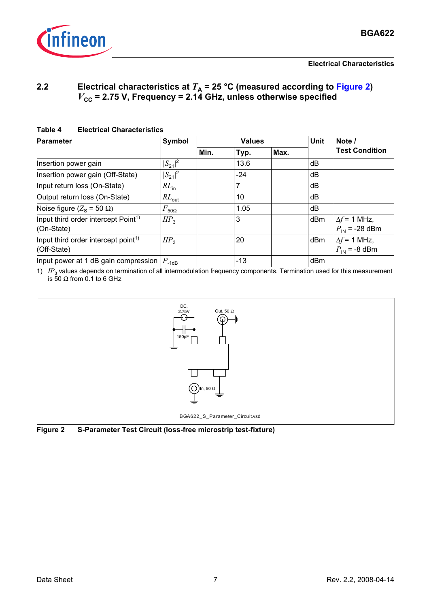

### **2.2 Electrical characteristics at**  $T_A$  **= 25 °C (measured according to [Figure 2](#page-6-0))** *V*<sub>cc</sub> = 2.75 V, Frequency = 2.14 GHz, unless otherwise specified

#### **Table 4 Electrical Characteristics**

| <b>Parameter</b>                                               | Symbol            | <b>Values</b> |       |      | Unit | Note /                                          |
|----------------------------------------------------------------|-------------------|---------------|-------|------|------|-------------------------------------------------|
|                                                                |                   | Min.          | Typ.  | Max. |      | <b>Test Condition</b>                           |
| Insertion power gain                                           | $ S_{21} ^2$      |               | 13.6  |      | dB   |                                                 |
| Insertion power gain (Off-State)                               | $ S_{21} ^2$      |               | $-24$ |      | dB   |                                                 |
| Input return loss (On-State)                                   | $RL_{in}$         |               | 7     |      | dB   |                                                 |
| Output return loss (On-State)                                  | $RL_{\text{out}}$ |               | 10    |      | dB   |                                                 |
| Noise figure ( $Z_s$ = 50 $\Omega$ )                           | $F_{50\Omega}$    |               | 1.05  |      | dB   |                                                 |
| Input third order intercept Point <sup>1)</sup><br>(On-State)  | $\mathit{HP}_3$   |               | 3     |      | dBm  | $\Delta f$ = 1 MHz,<br>$P_{IN}$ = -28 dBm       |
| Input third order intercept point <sup>1)</sup><br>(Off-State) | $\mathit{HP}_3$   |               | 20    |      | dBm  | $\Delta f$ = 1 MHz,<br>$P_{\text{IN}}$ = -8 dBm |
| Input power at 1 dB gain compression $ P_{-1dB} $              |                   |               | $-13$ |      | dBm  |                                                 |

1) *IP*<sub>3</sub> values depends on termination of all intermodulation frequency components. Termination used for this measurement is 50  $\Omega$  from 0.1 to 6 GHz



<span id="page-6-0"></span>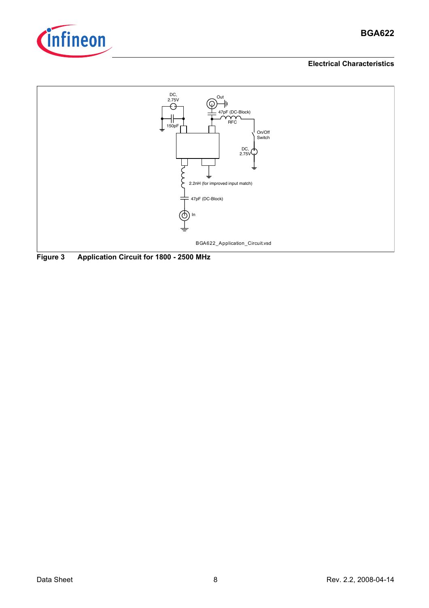

### **BGA622**

#### **Electrical Characteristics**



**Figure 3 Application Circuit for 1800 - 2500 MHz**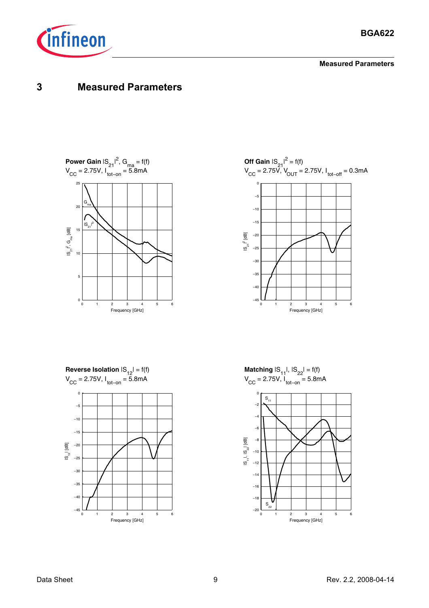

**Measured Parameters**

## **3 Measured Parameters**









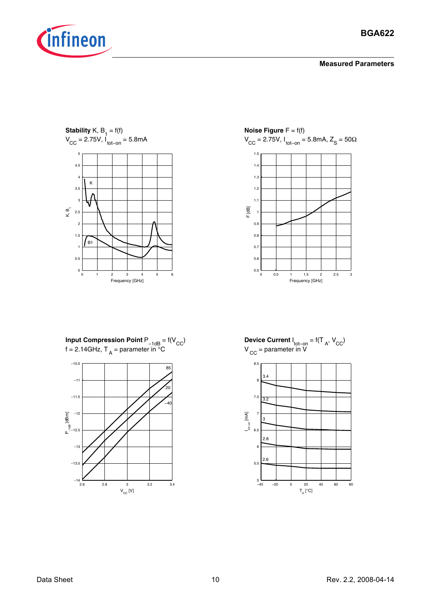

**Stability** K,  $B_1 = f(f)$  $V_{\text{CC}} = 2.75V, I_{\text{tot-on}} = 5.8mA$ 



**Noise Figure**  $F = f(f)$  $V_{\text{CC}} = 2.75V, I_{\text{tot-on}} = 5.8$ mA, Z<sub>S</sub> = 50Ω 0 0.5 1 1.5 2 2.5 3  $0.5 L$ 0.6 0.7 0.8 0.9 1 1.1 1.2 1.3 1.4 1.5 Frequency [GHz] F [dB]

**Input Compression Point**  $P_{-1dB} = f(V_{CC})$ f = 2.14GHz,  $T_A$  = parameter in °C



**Device Current**  $I_{\text{tot-on}} = f(T_A, V_{CC})$  $V_{\text{CC}}$  = parameter in V

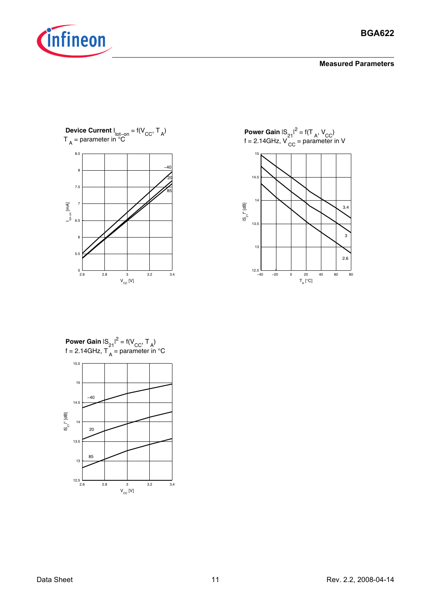



**Power Gain**  $|S_{21}|^2 = f(T_A, V_{CC})$  $f = 2.14$ GHz, V<sub>CC</sub> = parameter in V



**Power Gain**  $|S_{21}|^2 = f(V_{CC}, T_A)$ f = 2.14GHz,  $T_A$  = parameter in °C